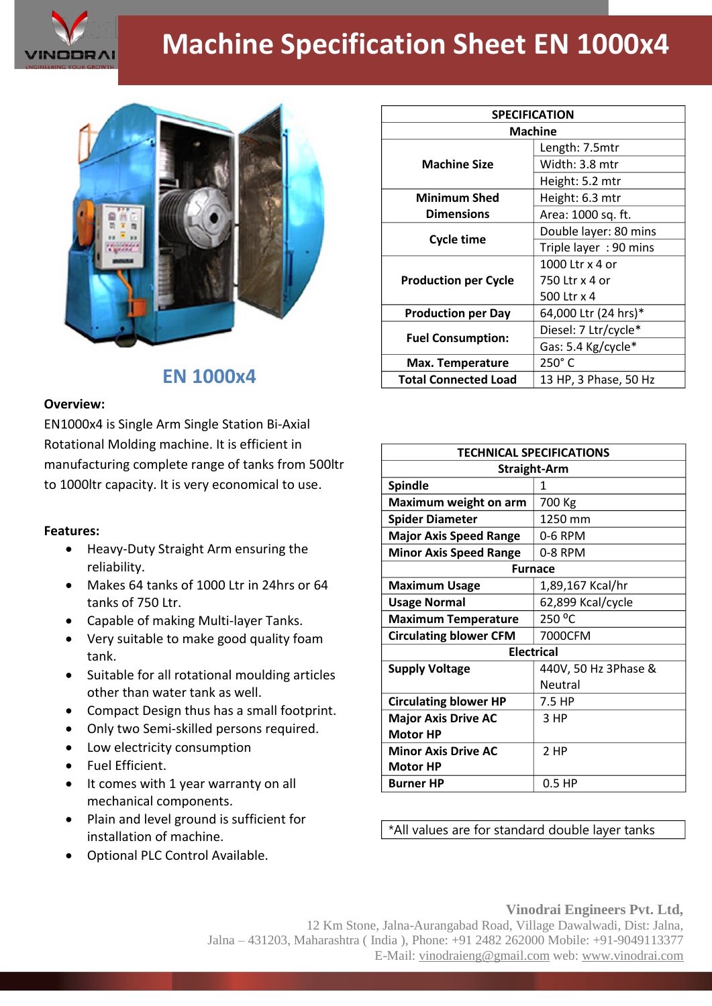

## **Machine Specification Sheet EN 1000x4**



## **EN 1000x4**

## **Overview:**

EN1000x4 is Single Arm Single Station Bi-Axial Rotational Molding machine. It is efficient in manufacturing complete range of tanks from 500ltr to 1000ltr capacity. It is very economical to use.

## **Features:**

- Heavy-Duty Straight Arm ensuring the reliability.
- Makes 64 tanks of 1000 Ltr in 24hrs or 64 tanks of 750 Ltr.
- Capable of making Multi-layer Tanks.
- Very suitable to make good quality foam tank.
- Suitable for all rotational moulding articles other than water tank as well.
- Compact Design thus has a small footprint.
- Only two Semi-skilled persons required.
- Low electricity consumption
- Fuel Efficient.
- It comes with 1 year warranty on all mechanical components.
- Plain and level ground is sufficient for installation of machine.
- Optional PLC Control Available.

| <b>SPECIFICATION</b>        |                       |
|-----------------------------|-----------------------|
| <b>Machine</b>              |                       |
| <b>Machine Size</b>         | Length: 7.5mtr        |
|                             | Width: 3.8 mtr        |
|                             | Height: 5.2 mtr       |
| <b>Minimum Shed</b>         | Height: 6.3 mtr       |
| <b>Dimensions</b>           | Area: 1000 sq. ft.    |
| <b>Cycle time</b>           | Double layer: 80 mins |
|                             | Triple layer: 90 mins |
| <b>Production per Cycle</b> | 1000 Ltr x 4 or       |
|                             | 750 Ltr x 4 or        |
|                             | 500 Ltr x 4           |
| <b>Production per Day</b>   | 64,000 Ltr (24 hrs)*  |
| <b>Fuel Consumption:</b>    | Diesel: 7 Ltr/cycle*  |
|                             | Gas: 5.4 Kg/cycle*    |
| Max. Temperature            | 250°C                 |
| <b>Total Connected Load</b> | 13 HP, 3 Phase, 50 Hz |

| <b>TECHNICAL SPECIFICATIONS</b> |                      |
|---------------------------------|----------------------|
| <b>Straight-Arm</b>             |                      |
| <b>Spindle</b>                  | 1                    |
| Maximum weight on arm           | 700 Kg               |
| <b>Spider Diameter</b>          | 1250 mm              |
| <b>Major Axis Speed Range</b>   | 0-6 RPM              |
| <b>Minor Axis Speed Range</b>   | 0-8 RPM              |
| <b>Furnace</b>                  |                      |
| <b>Maximum Usage</b>            | 1,89,167 Kcal/hr     |
| <b>Usage Normal</b>             | 62,899 Kcal/cycle    |
| <b>Maximum Temperature</b>      | 250 °C               |
| <b>Circulating blower CFM</b>   | 7000CFM              |
| <b>Electrical</b>               |                      |
| <b>Supply Voltage</b>           | 440V, 50 Hz 3Phase & |
|                                 | Neutral              |
| <b>Circulating blower HP</b>    | 7.5 HP               |
| <b>Major Axis Drive AC</b>      | 3 HP                 |
| <b>Motor HP</b>                 |                      |
| <b>Minor Axis Drive AC</b>      | 2 HP                 |
| <b>Motor HP</b>                 |                      |
| <b>Burner HP</b>                | $0.5$ HP             |

\*All values are for standard double layer tanks

**Vinodrai Engineers Pvt. Ltd,** 12 Km Stone, Jalna-Aurangabad Road, Village Dawalwadi, Dist: Jalna, Jalna – 431203, Maharashtra ( India ), Phone: +91 2482 262000 Mobile: +91-9049113377 E-Mail: vinodraieng@gmail.com web: www.vinodrai.com